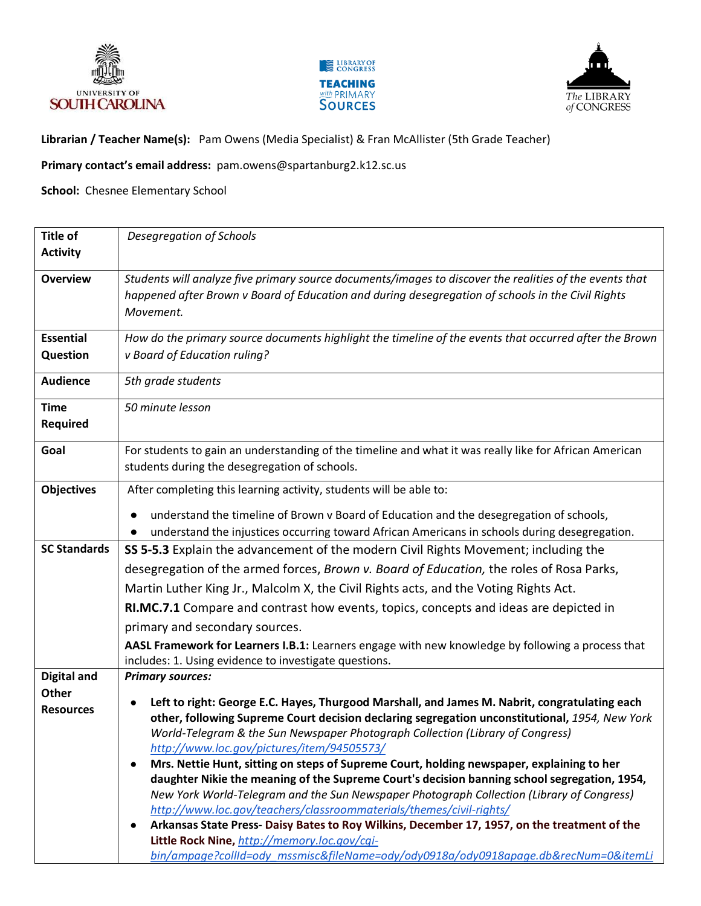





**Librarian / Teacher Name(s):** Pam Owens (Media Specialist) & Fran McAllister (5th Grade Teacher)

**Primary contact's email address:** pam.owens@spartanburg2.k12.sc.us

**School:** Chesnee Elementary School

| <b>Title of</b>           | Desegregation of Schools                                                                                                                |
|---------------------------|-----------------------------------------------------------------------------------------------------------------------------------------|
| <b>Activity</b>           |                                                                                                                                         |
| <b>Overview</b>           | Students will analyze five primary source documents/images to discover the realities of the events that                                 |
|                           | happened after Brown v Board of Education and during desegregation of schools in the Civil Rights                                       |
|                           | Movement.                                                                                                                               |
| <b>Essential</b>          | How do the primary source documents highlight the timeline of the events that occurred after the Brown                                  |
| Question                  | v Board of Education ruling?                                                                                                            |
| <b>Audience</b>           | 5th grade students                                                                                                                      |
| <b>Time</b>               | 50 minute lesson                                                                                                                        |
| <b>Required</b>           |                                                                                                                                         |
| Goal                      | For students to gain an understanding of the timeline and what it was really like for African American                                  |
|                           | students during the desegregation of schools.                                                                                           |
| <b>Objectives</b>         | After completing this learning activity, students will be able to:                                                                      |
|                           | understand the timeline of Brown v Board of Education and the desegregation of schools,                                                 |
|                           | understand the injustices occurring toward African Americans in schools during desegregation.                                           |
| <b>SC Standards</b>       | SS 5-5.3 Explain the advancement of the modern Civil Rights Movement; including the                                                     |
|                           | desegregation of the armed forces, Brown v. Board of Education, the roles of Rosa Parks,                                                |
|                           | Martin Luther King Jr., Malcolm X, the Civil Rights acts, and the Voting Rights Act.                                                    |
|                           | RI.MC.7.1 Compare and contrast how events, topics, concepts and ideas are depicted in                                                   |
|                           | primary and secondary sources.                                                                                                          |
|                           | AASL Framework for Learners I.B.1: Learners engage with new knowledge by following a process that                                       |
|                           | includes: 1. Using evidence to investigate questions.                                                                                   |
| <b>Digital and</b>        | <b>Primary sources:</b>                                                                                                                 |
| Other<br><b>Resources</b> | Left to right: George E.C. Hayes, Thurgood Marshall, and James M. Nabrit, congratulating each                                           |
|                           | other, following Supreme Court decision declaring segregation unconstitutional, 1954, New York                                          |
|                           | World-Telegram & the Sun Newspaper Photograph Collection (Library of Congress)                                                          |
|                           | http://www.loc.gov/pictures/item/94505573/<br>Mrs. Nettie Hunt, sitting on steps of Supreme Court, holding newspaper, explaining to her |
|                           | daughter Nikie the meaning of the Supreme Court's decision banning school segregation, 1954,                                            |
|                           | New York World-Telegram and the Sun Newspaper Photograph Collection (Library of Congress)                                               |
|                           | http://www.loc.gov/teachers/classroommaterials/themes/civil-rights/                                                                     |
|                           | Arkansas State Press- Daisy Bates to Roy Wilkins, December 17, 1957, on the treatment of the                                            |
|                           | Little Rock Nine, http://memory.loc.gov/cgi-<br>bin/ampage?collId=ody_mssmisc&fileName=ody/ody0918a/ody0918apage.db&recNum=0&itemLi     |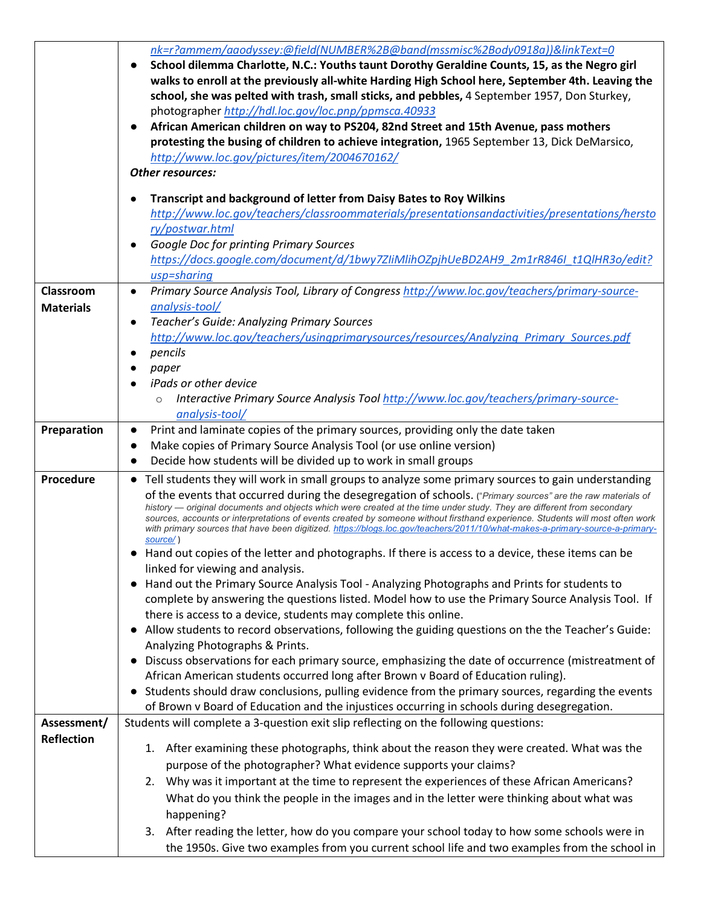|                   | nk=r?ammem/aaodyssey:@field(NUMBER%2B@band(mssmisc%2Body0918a))&linkText=0                                                    |
|-------------------|-------------------------------------------------------------------------------------------------------------------------------|
|                   | School dilemma Charlotte, N.C.: Youths taunt Dorothy Geraldine Counts, 15, as the Negro girl<br>$\bullet$                     |
|                   | walks to enroll at the previously all-white Harding High School here, September 4th. Leaving the                              |
|                   |                                                                                                                               |
|                   | school, she was pelted with trash, small sticks, and pebbles, 4 September 1957, Don Sturkey,                                  |
|                   | photographer http://hdl.loc.gov/loc.pnp/ppmsca.40933                                                                          |
|                   | African American children on way to PS204, 82nd Street and 15th Avenue, pass mothers                                          |
|                   | protesting the busing of children to achieve integration, 1965 September 13, Dick DeMarsico,                                  |
|                   | http://www.loc.gov/pictures/item/2004670162/                                                                                  |
|                   | <b>Other resources:</b>                                                                                                       |
|                   | Transcript and background of letter from Daisy Bates to Roy Wilkins                                                           |
|                   | http://www.loc.gov/teachers/classroommaterials/presentationsandactivities/presentations/hersto                                |
|                   |                                                                                                                               |
|                   | ry/postwar.html                                                                                                               |
|                   | Google Doc for printing Primary Sources                                                                                       |
|                   | https://docs.google.com/document/d/1bwy7ZIiMlihOZpjhUeBD2AH9_2m1rR846I_t1QlHR3o/edit?                                         |
|                   | usp=sharing                                                                                                                   |
| Classroom         | Primary Source Analysis Tool, Library of Congress http://www.loc.gov/teachers/primary-source-                                 |
| <b>Materials</b>  | analysis-tool/                                                                                                                |
|                   | Teacher's Guide: Analyzing Primary Sources                                                                                    |
|                   | http://www.loc.gov/teachers/usingprimarysources/resources/Analyzing Primary Sources.pdf                                       |
|                   | pencils                                                                                                                       |
|                   |                                                                                                                               |
|                   | paper                                                                                                                         |
|                   | <i>iPads or other device</i>                                                                                                  |
|                   | Interactive Primary Source Analysis Tool http://www.loc.gov/teachers/primary-source-                                          |
|                   | analysis-tool/                                                                                                                |
| Preparation       | Print and laminate copies of the primary sources, providing only the date taken<br>$\bullet$                                  |
|                   | Make copies of Primary Source Analysis Tool (or use online version)                                                           |
|                   | Decide how students will be divided up to work in small groups                                                                |
| Procedure         | • Tell students they will work in small groups to analyze some primary sources to gain understanding                          |
|                   | of the events that occurred during the desegregation of schools. ("Primary sources" are the raw materials of                  |
|                   | history — original documents and objects which were created at the time under study. They are different from secondary        |
|                   | sources, accounts or interpretations of events created by someone without firsthand experience. Students will most often work |
|                   | with primary sources that have been digitized. https://blogs.loc.gov/teachers/2011/10/what-makes-a-primary-source-a-primary-  |
|                   | source/)                                                                                                                      |
|                   | Hand out copies of the letter and photographs. If there is access to a device, these items can be                             |
|                   | linked for viewing and analysis.                                                                                              |
|                   | • Hand out the Primary Source Analysis Tool - Analyzing Photographs and Prints for students to                                |
|                   | complete by answering the questions listed. Model how to use the Primary Source Analysis Tool. If                             |
|                   | there is access to a device, students may complete this online.                                                               |
|                   | . Allow students to record observations, following the guiding questions on the the Teacher's Guide:                          |
|                   | Analyzing Photographs & Prints.                                                                                               |
|                   | • Discuss observations for each primary source, emphasizing the date of occurrence (mistreatment of                           |
|                   | African American students occurred long after Brown v Board of Education ruling).                                             |
|                   | Students should draw conclusions, pulling evidence from the primary sources, regarding the events                             |
|                   |                                                                                                                               |
|                   | of Brown v Board of Education and the injustices occurring in schools during desegregation.                                   |
| Assessment/       | Students will complete a 3-question exit slip reflecting on the following questions:                                          |
| <b>Reflection</b> |                                                                                                                               |
|                   | 1. After examining these photographs, think about the reason they were created. What was the                                  |
|                   | purpose of the photographer? What evidence supports your claims?                                                              |
|                   | 2. Why was it important at the time to represent the experiences of these African Americans?                                  |
|                   | What do you think the people in the images and in the letter were thinking about what was                                     |
|                   | happening?                                                                                                                    |
|                   |                                                                                                                               |
|                   | 3. After reading the letter, how do you compare your school today to how some schools were in                                 |
|                   | the 1950s. Give two examples from you current school life and two examples from the school in                                 |